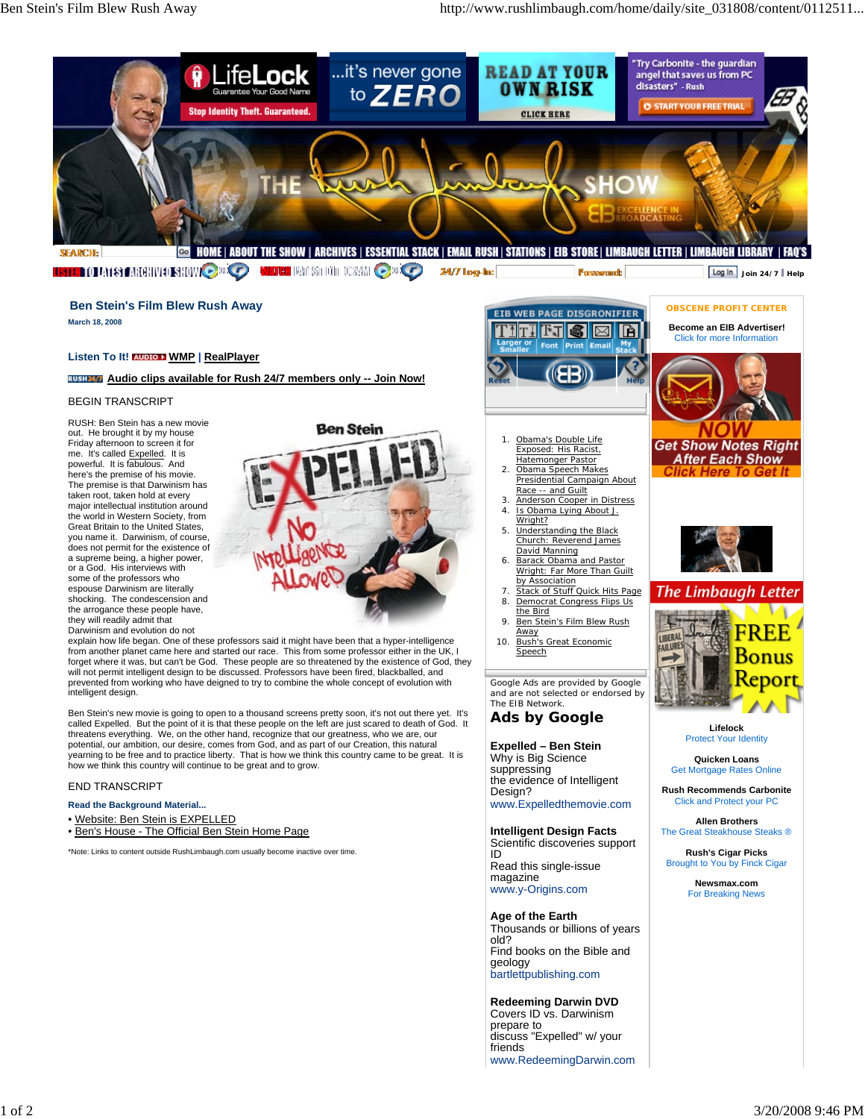

**USTED OF A 18 FARE INTERNATIONAL COMPUTER WINCH** RATISH ON TOSYM **O**DIO 24/7 log-ln:

# **Ben Stein's Film Blew Rush Away**

**March 18, 2008**

### **Listen To It! AUDIO 1 WMP | RealPlayer**

**Audio clips available for Rush 24/7 members only -- Join Now!**

#### BEGIN TRANSCRIPT

RUSH: Ben Stein has a new movie out. He brought it by my house Friday afternoon to screen it for me. It's called Expelled. It is powerful. It is fabulous. And here's the premise of his movie. The premise is that Darwinism has taken root, taken hold at every major intellectual institution around the world in Western Society, from Great Britain to the United States, you name it. Darwinism, of course, does not permit for the existence of a supreme being, a higher power, or a God. His interviews with some of the professors who espouse Darwinism are literally shocking. The condescension and the arrogance these people have, they will readily admit that Darwinism and evolution do not

**Ben Stein** 

explain how life began. One of these professors said it might have been that a hyper-intelligence from another planet came here and started our race. This from some professor either in the UK, I<br>forget where it was, but can't be God. These people are so threatened by the existence of God, they<br>will not permit intelli prevented from working who have deigned to try to combine the whole concept of evolution with intelligent design.

Ben Stein's new movie is going to open to a thousand screens pretty soon, it's not out there yet. It's called Expelled. But the point of it is that these people on the left are just scared to death of God. It threatens everything. We, on the other hand, recognize that our greatness, who we are, our potential, our ambition, our desire, comes from God, and as part of our Creation, this natural yearning to be free and to practice liberty. That is how we think this country came to be great. It is how we think this country will continue to be great and to grow.

#### END TRANSCRIPT

#### **Read the Background Material...**

• Website: Ben Stein is EXPELLED

• Ben's House - The Official Ben Stein Home Page

\*Note: Links to content outside RushLimbaugh.com usually become inactive over time.



Fassward:

- Obama's Double Life Exposed: His Racist, Hatemonger Pastor 1. Obama Speech Makes 2.
- Presidential Campaign About Race -- and Guilt 3. Anderson Cooper in Distress
- Is Obama Lying About J. Wright? 4.
- Understanding the Black Church: Reverend James David Manning 5.
- Barack Obama and Pastor Wright: Far More Than Guilt by Association 6.
- 7. Stack of Stuff Quick Hits Page Democrat Congress Flips Us 8.
- the Bird Ben Stein's Film Blew Rush Away 9.
- Bush's Great Economic Speech 10.

*Google Ads are provided by Google and are not selected or endorsed by The EIB Network.*

## **Ads by Google**

**Expelled – Ben Stein**

Why is Big Science suppressing the evidence of Intelligent Design? www.Expelledthemovie.com

#### **Intelligent Design Facts**

Scientific discoveries support ID Read this single-issue magazine www.y-Origins.com

**Age of the Earth** Thousands or billions of years old? Find books on the Bible and geology bartlettpublishing.com

**Redeeming Darwin DVD** Covers ID vs. Darwinism prepare to discuss "Expelled" w/ your friends www.RedeemingDarwin.com



**Join 24/7 Help**

**OBSCENE PROFIT CENTER**

Protect Your Identity

**Quicken Loans** Get Mortgage Rates Online

**Rush Recommends Carbonite** Click and Protect your PC

**Allen Brothers** The Great Steakhouse Steaks ®

**Rush's Cigar Picks** Brought to You by Finck Cigar

> **Newsmax.com** For Breaking News